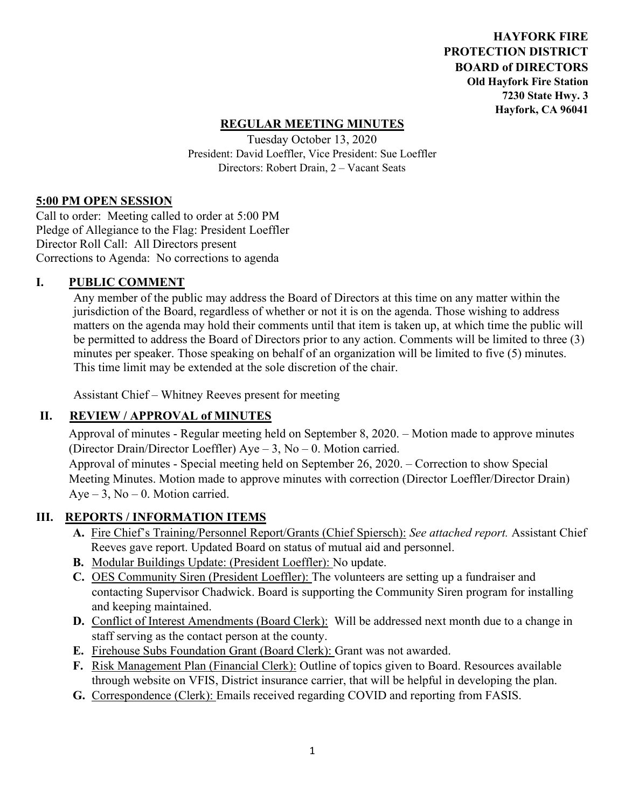**HAYFORK FIRE PROTECTION DISTRICT BOARD of DIRECTORS Old Hayfork Fire Station 7230 State Hwy. 3 Hayfork, CA 96041** 

### **REGULAR MEETING MINUTES**

Tuesday October 13, 2020 President: David Loeffler, Vice President: Sue Loeffler Directors: Robert Drain, 2 – Vacant Seats

### **5:00 PM OPEN SESSION**

Call to order: Meeting called to order at 5:00 PM Pledge of Allegiance to the Flag: President Loeffler Director Roll Call: All Directors present Corrections to Agenda: No corrections to agenda

### **I. PUBLIC COMMENT**

Any member of the public may address the Board of Directors at this time on any matter within the jurisdiction of the Board, regardless of whether or not it is on the agenda. Those wishing to address matters on the agenda may hold their comments until that item is taken up, at which time the public will be permitted to address the Board of Directors prior to any action. Comments will be limited to three (3) minutes per speaker. Those speaking on behalf of an organization will be limited to five (5) minutes. This time limit may be extended at the sole discretion of the chair.

Assistant Chief – Whitney Reeves present for meeting

## **II. REVIEW / APPROVAL of MINUTES**

 Approval of minutes - Regular meeting held on September 8, 2020. – Motion made to approve minutes (Director Drain/Director Loeffler) Aye – 3, No – 0. Motion carried.

Approval of minutes - Special meeting held on September 26, 2020. – Correction to show Special Meeting Minutes. Motion made to approve minutes with correction (Director Loeffler/Director Drain)  $Aye - 3$ ,  $No - 0$ . Motion carried.

### **III. REPORTS / INFORMATION ITEMS**

- **A.** Fire Chief's Training/Personnel Report/Grants (Chief Spiersch): *See attached report.* Assistant Chief Reeves gave report. Updated Board on status of mutual aid and personnel.
- **B.** Modular Buildings Update: (President Loeffler): No update.
- **C.** OES Community Siren (President Loeffler): The volunteers are setting up a fundraiser and contacting Supervisor Chadwick. Board is supporting the Community Siren program for installing and keeping maintained.
- **D.** Conflict of Interest Amendments (Board Clerk): Will be addressed next month due to a change in staff serving as the contact person at the county.
- **E.** Firehouse Subs Foundation Grant (Board Clerk): Grant was not awarded.
- **F.** Risk Management Plan (Financial Clerk): Outline of topics given to Board. Resources available through website on VFIS, District insurance carrier, that will be helpful in developing the plan.
- **G.** Correspondence (Clerk): Emails received regarding COVID and reporting from FASIS.